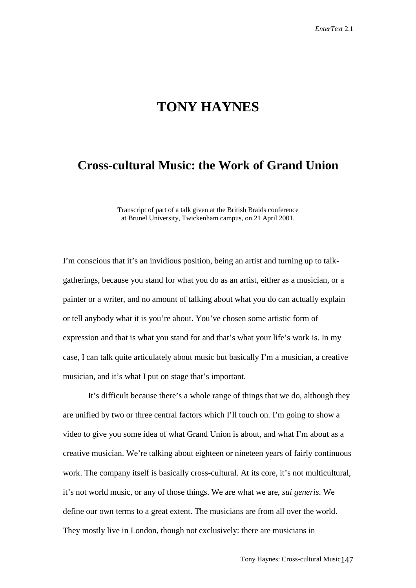## **TONY HAYNES**

## **Cross-cultural Music: the Work of Grand Union**

Transcript of part of a talk given at the British Braids conference at Brunel University, Twickenham campus, on 21 April 2001.

I'm conscious that it's an invidious position, being an artist and turning up to talkgatherings, because you stand for what you do as an artist, either as a musician, or a painter or a writer, and no amount of talking about what you do can actually explain or tell anybody what it is you're about. You've chosen some artistic form of expression and that is what you stand for and that's what your life's work is. In my case, I can talk quite articulately about music but basically I'm a musician, a creative musician, and it's what I put on stage that's important.

It's difficult because there's a whole range of things that we do, although they are unified by two or three central factors which I'll touch on. I'm going to show a video to give you some idea of what Grand Union is about, and what I'm about as a creative musician. We're talking about eighteen or nineteen years of fairly continuous work. The company itself is basically cross-cultural. At its core, it's not multicultural, it's not world music, or any of those things. We are what we are, *sui generis*. We define our own terms to a great extent. The musicians are from all over the world. They mostly live in London, though not exclusively: there are musicians in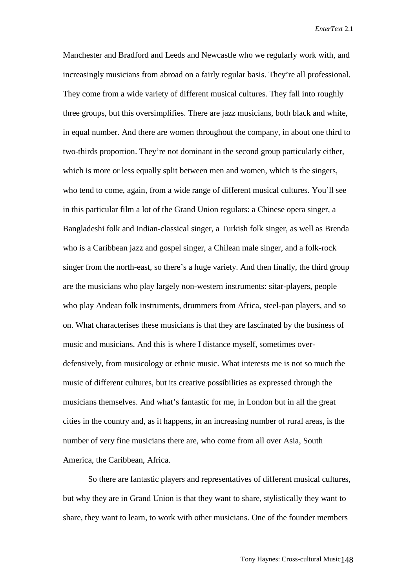*EnterText* 2.1

Manchester and Bradford and Leeds and Newcastle who we regularly work with, and increasingly musicians from abroad on a fairly regular basis. They're all professional. They come from a wide variety of different musical cultures. They fall into roughly three groups, but this oversimplifies. There are jazz musicians, both black and white, in equal number. And there are women throughout the company, in about one third to two-thirds proportion. They're not dominant in the second group particularly either, which is more or less equally split between men and women, which is the singers, who tend to come, again, from a wide range of different musical cultures. You'll see in this particular film a lot of the Grand Union regulars: a Chinese opera singer, a Bangladeshi folk and Indian-classical singer, a Turkish folk singer, as well as Brenda who is a Caribbean jazz and gospel singer, a Chilean male singer, and a folk-rock singer from the north-east, so there's a huge variety. And then finally, the third group are the musicians who play largely non-western instruments: sitar-players, people who play Andean folk instruments, drummers from Africa, steel-pan players, and so on. What characterises these musicians is that they are fascinated by the business of music and musicians. And this is where I distance myself, sometimes overdefensively, from musicology or ethnic music. What interests me is not so much the music of different cultures, but its creative possibilities as expressed through the musicians themselves. And what's fantastic for me, in London but in all the great cities in the country and, as it happens, in an increasing number of rural areas, is the number of very fine musicians there are, who come from all over Asia, South America, the Caribbean, Africa.

So there are fantastic players and representatives of different musical cultures, but why they are in Grand Union is that they want to share, stylistically they want to share, they want to learn, to work with other musicians. One of the founder members